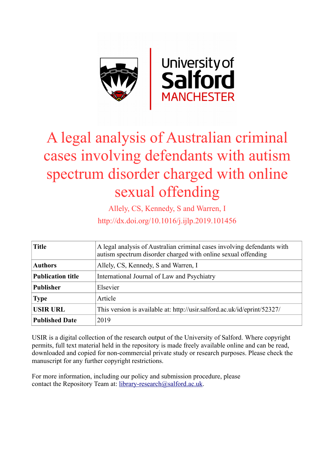

# A legal analysis of Australian criminal cases involving defendants with autism spectrum disorder charged with online sexual offending

Allely, CS, Kennedy, S and Warren, I http://dx.doi.org/10.1016/j.ijlp.2019.101456

| <b>Title</b>             | A legal analysis of Australian criminal cases involving defendants with<br>autism spectrum disorder charged with online sexual offending |  |  |
|--------------------------|------------------------------------------------------------------------------------------------------------------------------------------|--|--|
| <b>Authors</b>           | Allely, CS, Kennedy, S and Warren, I                                                                                                     |  |  |
| <b>Publication title</b> | International Journal of Law and Psychiatry                                                                                              |  |  |
| <b>Publisher</b>         | Elsevier                                                                                                                                 |  |  |
| <b>Type</b>              | Article                                                                                                                                  |  |  |
| <b>USIR URL</b>          | This version is available at: http://usir.salford.ac.uk/id/eprint/52327/                                                                 |  |  |
| <b>Published Date</b>    | 2019                                                                                                                                     |  |  |

USIR is a digital collection of the research output of the University of Salford. Where copyright permits, full text material held in the repository is made freely available online and can be read, downloaded and copied for non-commercial private study or research purposes. Please check the manuscript for any further copyright restrictions.

For more information, including our policy and submission procedure, please contact the Repository Team at: [library-research@salford.ac.uk.](mailto:library-research@salford.ac.uk)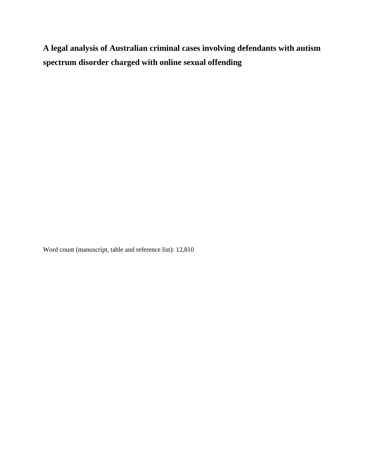**A legal analysis of Australian criminal cases involving defendants with autism spectrum disorder charged with online sexual offending**

Word count (manuscript, table and reference list): 12,810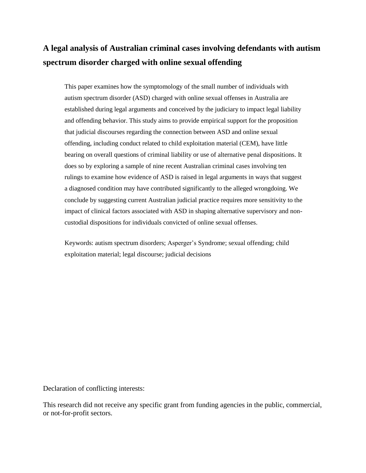# **A legal analysis of Australian criminal cases involving defendants with autism spectrum disorder charged with online sexual offending**

This paper examines how the symptomology of the small number of individuals with autism spectrum disorder (ASD) charged with online sexual offenses in Australia are established during legal arguments and conceived by the judiciary to impact legal liability and offending behavior. This study aims to provide empirical support for the proposition that judicial discourses regarding the connection between ASD and online sexual offending, including conduct related to child exploitation material (CEM), have little bearing on overall questions of criminal liability or use of alternative penal dispositions. It does so by exploring a sample of nine recent Australian criminal cases involving ten rulings to examine how evidence of ASD is raised in legal arguments in ways that suggest a diagnosed condition may have contributed significantly to the alleged wrongdoing. We conclude by suggesting current Australian judicial practice requires more sensitivity to the impact of clinical factors associated with ASD in shaping alternative supervisory and noncustodial dispositions for individuals convicted of online sexual offenses.

Keywords: autism spectrum disorders; Asperger's Syndrome; sexual offending; child exploitation material; legal discourse; judicial decisions

Declaration of conflicting interests:

This research did not receive any specific grant from funding agencies in the public, commercial, or not-for-profit sectors.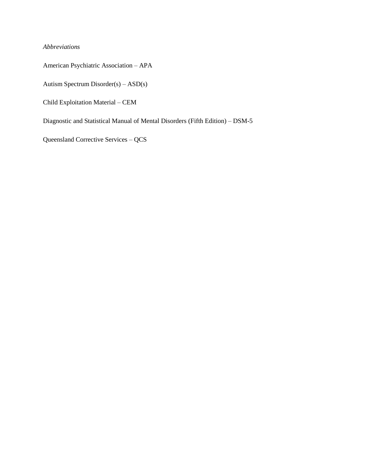# *Abbreviations*

American Psychiatric Association – APA

Autism Spectrum Disorder(s) – ASD(s)

Child Exploitation Material – CEM

Diagnostic and Statistical Manual of Mental Disorders (Fifth Edition) – DSM-5

Queensland Corrective Services – QCS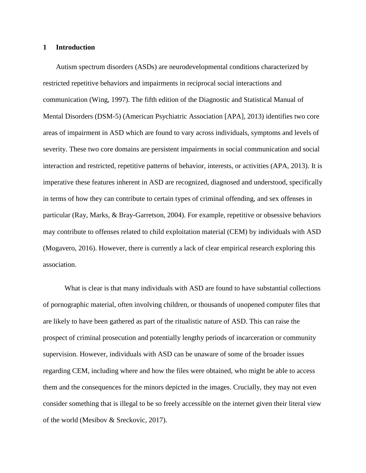# **1 Introduction**

Autism spectrum disorders (ASDs) are neurodevelopmental conditions characterized by restricted repetitive behaviors and impairments in reciprocal social interactions and communication (Wing, 1997). The fifth edition of the Diagnostic and Statistical Manual of Mental Disorders (DSM-5) (American Psychiatric Association [APA], 2013) identifies two core areas of impairment in ASD which are found to vary across individuals, symptoms and levels of severity. These two core domains are persistent impairments in social communication and social interaction and restricted, repetitive patterns of behavior, interests, or activities (APA, 2013). It is imperative these features inherent in ASD are recognized, diagnosed and understood, specifically in terms of how they can contribute to certain types of criminal offending, and sex offenses in particular (Ray, Marks, & Bray-Garretson, 2004). For example, repetitive or obsessive behaviors may contribute to offenses related to child exploitation material (CEM) by individuals with ASD (Mogavero, 2016). However, there is currently a lack of clear empirical research exploring this association.

What is clear is that many individuals with ASD are found to have substantial collections of pornographic material, often involving children, or thousands of unopened computer files that are likely to have been gathered as part of the ritualistic nature of ASD. This can raise the prospect of criminal prosecution and potentially lengthy periods of incarceration or community supervision. However, individuals with ASD can be unaware of some of the broader issues regarding CEM, including where and how the files were obtained, who might be able to access them and the consequences for the minors depicted in the images. Crucially, they may not even consider something that is illegal to be so freely accessible on the internet given their literal view of the world (Mesibov & Sreckovic, 2017).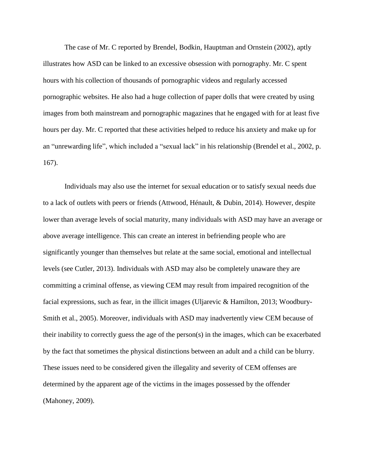The case of Mr. C reported by Brendel, Bodkin, Hauptman and Ornstein (2002), aptly illustrates how ASD can be linked to an excessive obsession with pornography. Mr. C spent hours with his collection of thousands of pornographic videos and regularly accessed pornographic websites. He also had a huge collection of paper dolls that were created by using images from both mainstream and pornographic magazines that he engaged with for at least five hours per day. Mr. C reported that these activities helped to reduce his anxiety and make up for an "unrewarding life", which included a "sexual lack" in his relationship (Brendel et al., 2002, p. 167).

Individuals may also use the internet for sexual education or to satisfy sexual needs due to a lack of outlets with peers or friends (Attwood, Hénault, & Dubin, 2014). However, despite lower than average levels of social maturity, many individuals with ASD may have an average or above average intelligence. This can create an interest in befriending people who are significantly younger than themselves but relate at the same social, emotional and intellectual levels (see Cutler, 2013). Individuals with ASD may also be completely unaware they are committing a criminal offense, as viewing CEM may result from impaired recognition of the facial expressions, such as fear, in the illicit images (Uljarevic & Hamilton, 2013; Woodbury-Smith et al., 2005). Moreover, individuals with ASD may inadvertently view CEM because of their inability to correctly guess the age of the person(s) in the images, which can be exacerbated by the fact that sometimes the physical distinctions between an adult and a child can be blurry. These issues need to be considered given the illegality and severity of CEM offenses are determined by the apparent age of the victims in the images possessed by the offender (Mahoney, 2009).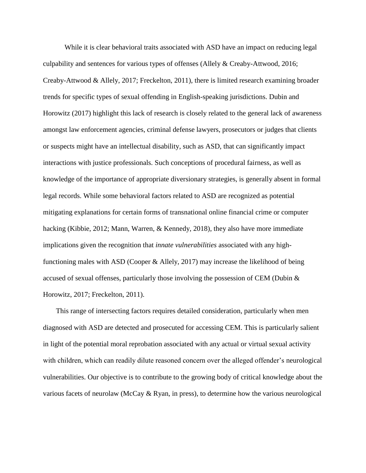While it is clear behavioral traits associated with ASD have an impact on reducing legal culpability and sentences for various types of offenses (Allely & Creaby-Attwood, 2016; Creaby-Attwood & Allely, 2017; Freckelton, 2011), there is limited research examining broader trends for specific types of sexual offending in English-speaking jurisdictions. Dubin and Horowitz (2017) highlight this lack of research is closely related to the general lack of awareness amongst law enforcement agencies, criminal defense lawyers, prosecutors or judges that clients or suspects might have an intellectual disability, such as ASD, that can significantly impact interactions with justice professionals. Such conceptions of procedural fairness, as well as knowledge of the importance of appropriate diversionary strategies, is generally absent in formal legal records. While some behavioral factors related to ASD are recognized as potential mitigating explanations for certain forms of transnational online financial crime or computer hacking (Kibbie, 2012; Mann, Warren, & Kennedy, 2018), they also have more immediate implications given the recognition that *innate vulnerabilities* associated with any highfunctioning males with ASD (Cooper & Allely, 2017) may increase the likelihood of being accused of sexual offenses, particularly those involving the possession of CEM (Dubin & Horowitz, 2017; Freckelton, 2011).

This range of intersecting factors requires detailed consideration, particularly when men diagnosed with ASD are detected and prosecuted for accessing CEM. This is particularly salient in light of the potential moral reprobation associated with any actual or virtual sexual activity with children, which can readily dilute reasoned concern over the alleged offender's neurological vulnerabilities. Our objective is to contribute to the growing body of critical knowledge about the various facets of neurolaw (McCay & Ryan, in press), to determine how the various neurological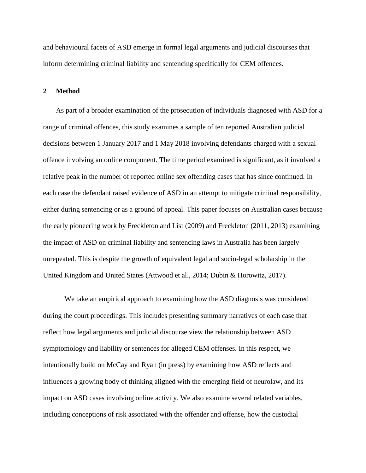and behavioural facets of ASD emerge in formal legal arguments and judicial discourses that inform determining criminal liability and sentencing specifically for CEM offences.

#### **2 Method**

As part of a broader examination of the prosecution of individuals diagnosed with ASD for a range of criminal offences, this study examines a sample of ten reported Australian judicial decisions between 1 January 2017 and 1 May 2018 involving defendants charged with a sexual offence involving an online component. The time period examined is significant, as it involved a relative peak in the number of reported online sex offending cases that has since continued. In each case the defendant raised evidence of ASD in an attempt to mitigate criminal responsibility, either during sentencing or as a ground of appeal. This paper focuses on Australian cases because the early pioneering work by Freckleton and List (2009) and Freckleton (2011, 2013) examining the impact of ASD on criminal liability and sentencing laws in Australia has been largely unrepeated. This is despite the growth of equivalent legal and socio-legal scholarship in the United Kingdom and United States (Attwood et al., 2014; Dubin & Horowitz, 2017).

We take an empirical approach to examining how the ASD diagnosis was considered during the court proceedings. This includes presenting summary narratives of each case that reflect how legal arguments and judicial discourse view the relationship between ASD symptomology and liability or sentences for alleged CEM offenses. In this respect, we intentionally build on McCay and Ryan (in press) by examining how ASD reflects and influences a growing body of thinking aligned with the emerging field of neurolaw, and its impact on ASD cases involving online activity. We also examine several related variables, including conceptions of risk associated with the offender and offense, how the custodial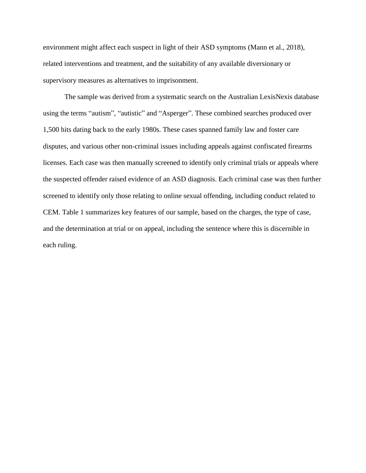environment might affect each suspect in light of their ASD symptoms (Mann et al., 2018), related interventions and treatment, and the suitability of any available diversionary or supervisory measures as alternatives to imprisonment.

The sample was derived from a systematic search on the Australian LexisNexis database using the terms "autism", "autistic" and "Asperger". These combined searches produced over 1,500 hits dating back to the early 1980s. These cases spanned family law and foster care disputes, and various other non-criminal issues including appeals against confiscated firearms licenses. Each case was then manually screened to identify only criminal trials or appeals where the suspected offender raised evidence of an ASD diagnosis. Each criminal case was then further screened to identify only those relating to online sexual offending, including conduct related to CEM. Table 1 summarizes key features of our sample, based on the charges, the type of case, and the determination at trial or on appeal, including the sentence where this is discernible in each ruling.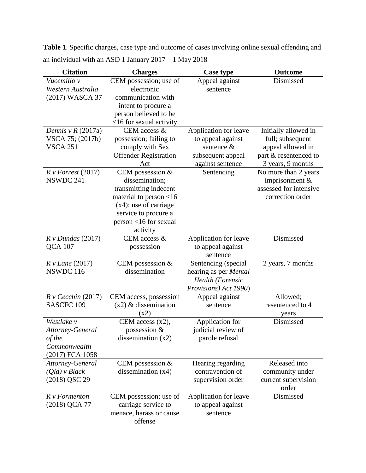**Table 1**. Specific charges, case type and outcome of cases involving online sexual offending and an individual with an ASD 1 January 2017 – 1 May 2018

| <b>Citation</b>          | <b>Charges</b>               | <b>Case type</b>        | Outcome                |
|--------------------------|------------------------------|-------------------------|------------------------|
| Vucemillo v              | CEM possession; use of       | Appeal against          | Dismissed              |
| Western Australia        | electronic                   | sentence                |                        |
| (2017) WASCA 37          | communication with           |                         |                        |
|                          | intent to procure a          |                         |                        |
|                          | person believed to be        |                         |                        |
|                          | $<16$ for sexual activity    |                         |                        |
| Dennis v $R(2017a)$      | CEM access &                 | Application for leave   | Initially allowed in   |
| VSCA 75; (2017b)         | possession; failing to       | to appeal against       | full; subsequent       |
| <b>VSCA 251</b>          | comply with Sex              | sentence &              | appeal allowed in      |
|                          | <b>Offender Registration</b> | subsequent appeal       | part & resentenced to  |
|                          | Act                          | against sentence        | 3 years, 9 months      |
| $R \nu$ Forrest (2017)   | CEM possession $&$           | Sentencing              | No more than 2 years   |
| NSWDC 241                | dissemination;               |                         | imprisonment $&$       |
|                          | transmitting indecent        |                         | assessed for intensive |
|                          | material to person $<$ 16    |                         | correction order       |
|                          | $(x4)$ ; use of carriage     |                         |                        |
|                          | service to procure a         |                         |                        |
|                          | person <16 for sexual        |                         |                        |
|                          | activity                     |                         |                        |
| $R v$ Dundas (2017)      | CEM access &                 | Application for leave   | Dismissed              |
| <b>QCA 107</b>           | possession                   | to appeal against       |                        |
|                          |                              | sentence                |                        |
| $R v$ <i>Lane</i> (2017) | CEM possession &             | Sentencing (special     | 2 years, 7 months      |
| NSWDC 116                | dissemination                | hearing as per Mental   |                        |
|                          |                              | <b>Health</b> (Forensic |                        |
|                          |                              | Provisions) Act 1990)   |                        |
| $R$ v Cecchin (2017)     | CEM access, possession       | Appeal against          | Allowed;               |
| SASCFC <sub>109</sub>    | $(x2)$ & dissemination       | sentence                | resentenced to 4       |
|                          | (x2)                         |                         | years                  |
| Westlake v               | CEM access $(x2)$ ,          | Application for         | Dismissed              |
| Attorney-General         | possession &                 | judicial review of      |                        |
| of the                   | dissemination $(x2)$         | parole refusal          |                        |
| Commonwealth             |                              |                         |                        |
| (2017) FCA 1058          |                              |                         |                        |
| Attorney-General         | CEM possession &             | Hearing regarding       | Released into          |
| $(Qld)$ v Black          | dissemination $(x4)$         | contravention of        | community under        |
| (2018) QSC 29            |                              | supervision order       | current supervision    |
|                          |                              |                         | order                  |
| $R \vee$ Formenton       | CEM possession; use of       | Application for leave   | Dismissed              |
| (2018) QCA 77            | carriage service to          | to appeal against       |                        |
|                          | menace, harass or cause      | sentence                |                        |
|                          | offense                      |                         |                        |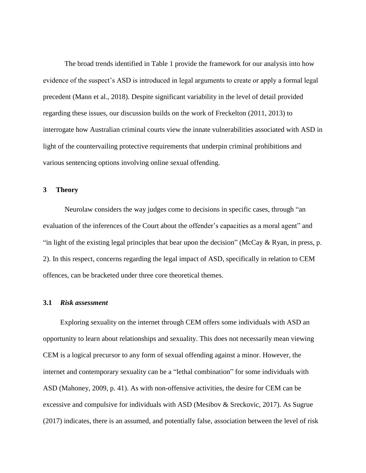The broad trends identified in Table 1 provide the framework for our analysis into how evidence of the suspect's ASD is introduced in legal arguments to create or apply a formal legal precedent (Mann et al., 2018). Despite significant variability in the level of detail provided regarding these issues, our discussion builds on the work of Freckelton (2011, 2013) to interrogate how Australian criminal courts view the innate vulnerabilities associated with ASD in light of the countervailing protective requirements that underpin criminal prohibitions and various sentencing options involving online sexual offending.

#### **3 Theory**

Neurolaw considers the way judges come to decisions in specific cases, through "an evaluation of the inferences of the Court about the offender's capacities as a moral agent" and "in light of the existing legal principles that bear upon the decision" (McCay & Ryan, in press, p. 2). In this respect, concerns regarding the legal impact of ASD, specifically in relation to CEM offences, can be bracketed under three core theoretical themes.

# **3.1** *Risk assessment*

Exploring sexuality on the internet through CEM offers some individuals with ASD an opportunity to learn about relationships and sexuality. This does not necessarily mean viewing CEM is a logical precursor to any form of sexual offending against a minor. However, the internet and contemporary sexuality can be a "lethal combination" for some individuals with ASD (Mahoney, 2009, p. 41). As with non-offensive activities, the desire for CEM can be excessive and compulsive for individuals with ASD (Mesibov & Sreckovic, 2017). As Sugrue (2017) indicates, there is an assumed, and potentially false, association between the level of risk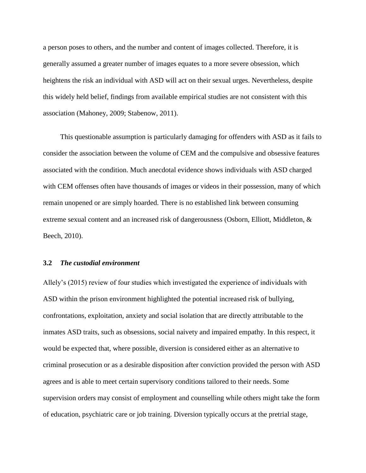a person poses to others, and the number and content of images collected. Therefore, it is generally assumed a greater number of images equates to a more severe obsession, which heightens the risk an individual with ASD will act on their sexual urges. Nevertheless, despite this widely held belief, findings from available empirical studies are not consistent with this association (Mahoney, 2009; Stabenow, 2011).

This questionable assumption is particularly damaging for offenders with ASD as it fails to consider the association between the volume of CEM and the compulsive and obsessive features associated with the condition. Much anecdotal evidence shows individuals with ASD charged with CEM offenses often have thousands of images or videos in their possession, many of which remain unopened or are simply hoarded. There is no established link between consuming extreme sexual content and an increased risk of dangerousness (Osborn, Elliott, Middleton, & Beech, 2010).

#### **3.2** *The custodial environment*

Allely's (2015) review of four studies which investigated the experience of individuals with ASD within the prison environment highlighted the potential increased risk of bullying, confrontations, exploitation, anxiety and social isolation that are directly attributable to the inmates ASD traits, such as obsessions, social naivety and impaired empathy. In this respect, it would be expected that, where possible, diversion is considered either as an alternative to criminal prosecution or as a desirable disposition after conviction provided the person with ASD agrees and is able to meet certain supervisory conditions tailored to their needs. Some supervision orders may consist of employment and counselling while others might take the form of education, psychiatric care or job training. Diversion typically occurs at the pretrial stage,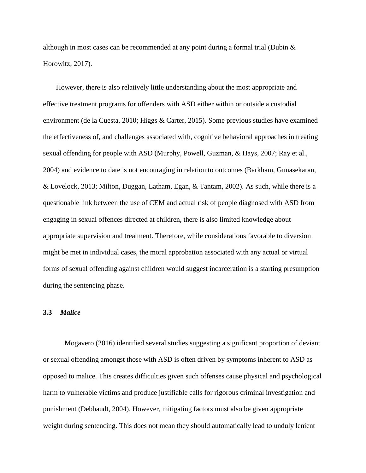although in most cases can be recommended at any point during a formal trial (Dubin  $\&$ Horowitz, 2017).

However, there is also relatively little understanding about the most appropriate and effective treatment programs for offenders with ASD either within or outside a custodial environment (de la Cuesta, 2010; Higgs & Carter, 2015). Some previous studies have examined the effectiveness of, and challenges associated with, cognitive behavioral approaches in treating sexual offending for people with ASD (Murphy, Powell, Guzman, & Hays, 2007; Ray et al., 2004) and evidence to date is not encouraging in relation to outcomes (Barkham, Gunasekaran, & Lovelock, 2013; Milton, Duggan, Latham, Egan, & Tantam, 2002). As such, while there is a questionable link between the use of CEM and actual risk of people diagnosed with ASD from engaging in sexual offences directed at children, there is also limited knowledge about appropriate supervision and treatment. Therefore, while considerations favorable to diversion might be met in individual cases, the moral approbation associated with any actual or virtual forms of sexual offending against children would suggest incarceration is a starting presumption during the sentencing phase.

# **3.3** *Malice*

Mogavero (2016) identified several studies suggesting a significant proportion of deviant or sexual offending amongst those with ASD is often driven by symptoms inherent to ASD as opposed to malice. This creates difficulties given such offenses cause physical and psychological harm to vulnerable victims and produce justifiable calls for rigorous criminal investigation and punishment (Debbaudt, 2004). However, mitigating factors must also be given appropriate weight during sentencing. This does not mean they should automatically lead to unduly lenient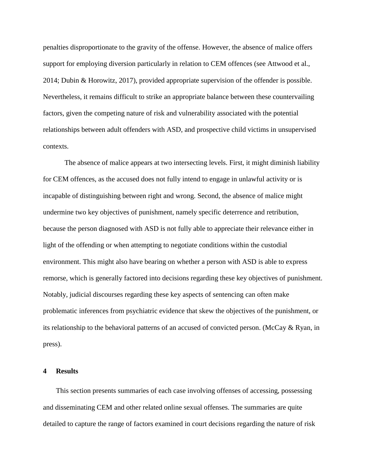penalties disproportionate to the gravity of the offense. However, the absence of malice offers support for employing diversion particularly in relation to CEM offences (see Attwood et al., 2014; Dubin & Horowitz, 2017), provided appropriate supervision of the offender is possible. Nevertheless, it remains difficult to strike an appropriate balance between these countervailing factors, given the competing nature of risk and vulnerability associated with the potential relationships between adult offenders with ASD, and prospective child victims in unsupervised contexts.

The absence of malice appears at two intersecting levels. First, it might diminish liability for CEM offences, as the accused does not fully intend to engage in unlawful activity or is incapable of distinguishing between right and wrong. Second, the absence of malice might undermine two key objectives of punishment, namely specific deterrence and retribution, because the person diagnosed with ASD is not fully able to appreciate their relevance either in light of the offending or when attempting to negotiate conditions within the custodial environment. This might also have bearing on whether a person with ASD is able to express remorse, which is generally factored into decisions regarding these key objectives of punishment. Notably, judicial discourses regarding these key aspects of sentencing can often make problematic inferences from psychiatric evidence that skew the objectives of the punishment, or its relationship to the behavioral patterns of an accused of convicted person. (McCay & Ryan, in press).

# **4 Results**

This section presents summaries of each case involving offenses of accessing, possessing and disseminating CEM and other related online sexual offenses. The summaries are quite detailed to capture the range of factors examined in court decisions regarding the nature of risk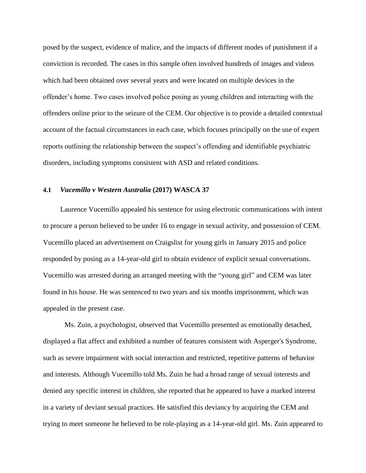posed by the suspect, evidence of malice, and the impacts of different modes of punishment if a conviction is recorded. The cases in this sample often involved hundreds of images and videos which had been obtained over several years and were located on multiple devices in the offender's home. Two cases involved police posing as young children and interacting with the offenders online prior to the seizure of the CEM. Our objective is to provide a detailed contextual account of the factual circumstances in each case, which focuses principally on the use of expert reports outlining the relationship between the suspect's offending and identifiable psychiatric disorders, including symptoms consistent with ASD and related conditions.

# **4.1** *Vucemillo v Western Australia* **(2017) WASCA 37**

Laurence Vucemillo appealed his sentence for using electronic communications with intent to procure a person believed to be under 16 to engage in sexual activity, and possession of CEM. Vucemillo placed an advertisement on Craigslist for young girls in January 2015 and police responded by posing as a 14-year-old girl to obtain evidence of explicit sexual conversations. Vucemillo was arrested during an arranged meeting with the "young girl" and CEM was later found in his house. He was sentenced to two years and six months imprisonment, which was appealed in the present case.

Ms. Zuin, a psychologist, observed that Vucemillo presented as emotionally detached, displayed a flat affect and exhibited a number of features consistent with Asperger's Syndrome, such as severe impairment with social interaction and restricted, repetitive patterns of behavior and interests. Although Vucemillo told Ms. Zuin he had a broad range of sexual interests and denied any specific interest in children, she reported that he appeared to have a marked interest in a variety of deviant sexual practices. He satisfied this deviancy by acquiring the CEM and trying to meet someone he believed to be role-playing as a 14-year-old girl. Ms. Zuin appeared to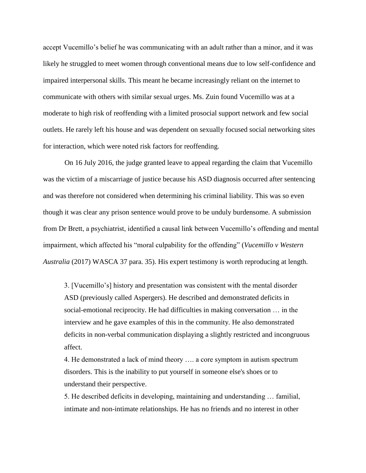accept Vucemillo's belief he was communicating with an adult rather than a minor, and it was likely he struggled to meet women through conventional means due to low self-confidence and impaired interpersonal skills. This meant he became increasingly reliant on the internet to communicate with others with similar sexual urges. Ms. Zuin found Vucemillo was at a moderate to high risk of reoffending with a limited prosocial support network and few social outlets. He rarely left his house and was dependent on sexually focused social networking sites for interaction, which were noted risk factors for reoffending.

On 16 July 2016, the judge granted leave to appeal regarding the claim that Vucemillo was the victim of a miscarriage of justice because his ASD diagnosis occurred after sentencing and was therefore not considered when determining his criminal liability. This was so even though it was clear any prison sentence would prove to be unduly burdensome. A submission from Dr Brett, a psychiatrist, identified a causal link between Vucemillo's offending and mental impairment, which affected his "moral culpability for the offending" (*Vucemillo v Western Australia* (2017) WASCA 37 para. 35). His expert testimony is worth reproducing at length.

3. [Vucemillo's] history and presentation was consistent with the mental disorder ASD (previously called Aspergers). He described and demonstrated deficits in social-emotional reciprocity. He had difficulties in making conversation … in the interview and he gave examples of this in the community. He also demonstrated deficits in non-verbal communication displaying a slightly restricted and incongruous affect.

4. He demonstrated a lack of mind theory …. a core symptom in autism spectrum disorders. This is the inability to put yourself in someone else's shoes or to understand their perspective.

5. He described deficits in developing, maintaining and understanding … familial, intimate and non-intimate relationships. He has no friends and no interest in other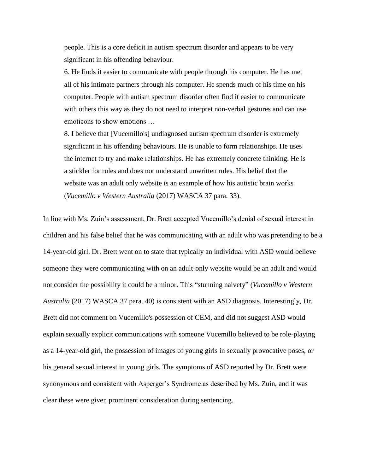people. This is a core deficit in autism spectrum disorder and appears to be very significant in his offending behaviour.

6. He finds it easier to communicate with people through his computer. He has met all of his intimate partners through his computer. He spends much of his time on his computer. People with autism spectrum disorder often find it easier to communicate with others this way as they do not need to interpret non-verbal gestures and can use emoticons to show emotions …

8. I believe that [Vucemillo's] undiagnosed autism spectrum disorder is extremely significant in his offending behaviours. He is unable to form relationships. He uses the internet to try and make relationships. He has extremely concrete thinking. He is a stickler for rules and does not understand unwritten rules. His belief that the website was an adult only website is an example of how his autistic brain works (*Vucemillo v Western Australia* (2017) WASCA 37 para. 33).

In line with Ms. Zuin's assessment, Dr. Brett accepted Vucemillo's denial of sexual interest in children and his false belief that he was communicating with an adult who was pretending to be a 14-year-old girl. Dr. Brett went on to state that typically an individual with ASD would believe someone they were communicating with on an adult-only website would be an adult and would not consider the possibility it could be a minor. This "stunning naivety" (*Vucemillo v Western Australia* (2017) WASCA 37 para. 40) is consistent with an ASD diagnosis. Interestingly, Dr. Brett did not comment on Vucemillo's possession of CEM, and did not suggest ASD would explain sexually explicit communications with someone Vucemillo believed to be role-playing as a 14-year-old girl, the possession of images of young girls in sexually provocative poses, or his general sexual interest in young girls. The symptoms of ASD reported by Dr. Brett were synonymous and consistent with Asperger's Syndrome as described by Ms. Zuin, and it was clear these were given prominent consideration during sentencing.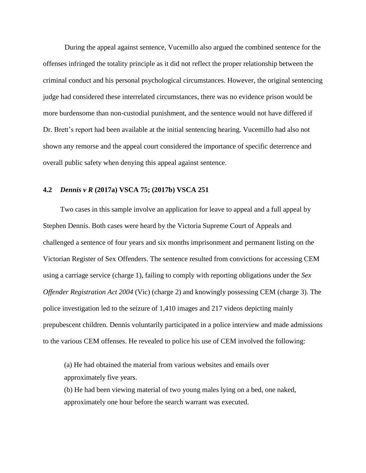During the appeal against sentence, Vucemillo also argued the combined sentence for the offenses infringed the totality principle as it did not reflect the proper relationship between the criminal conduct and his personal psychological circumstances. However, the original sentencing judge had considered these interrelated circumstances, there was no evidence prison would be more burdensome than non-custodial punishment, and the sentence would not have differed if Dr. Brett's report had been available at the initial sentencing hearing. Vucemillo had also not shown any remorse and the appeal court considered the importance of specific deterrence and overall public safety when denying this appeal against sentence.

# **4.2** *Dennis v R* **(2017a) VSCA 75; (2017b) VSCA 251**

Two cases in this sample involve an application for leave to appeal and a full appeal by Stephen Dennis. Both cases were heard by the Victoria Supreme Court of Appeals and challenged a sentence of four years and six months imprisonment and permanent listing on the Victorian Register of Sex Offenders. The sentence resulted from convictions for accessing CEM using a carriage service (charge 1), failing to comply with reporting obligations under the *Sex Offender Registration Act 2004* (Vic) (charge 2) and knowingly possessing CEM (charge 3). The police investigation led to the seizure of 1,410 images and 217 videos depicting mainly prepubescent children. Dennis voluntarily participated in a police interview and made admissions to the various CEM offenses. He revealed to police his use of CEM involved the following:

(a) He had obtained the material from various websites and emails over approximately five years.

(b) He had been viewing material of two young males lying on a bed, one naked, approximately one hour before the search warrant was executed.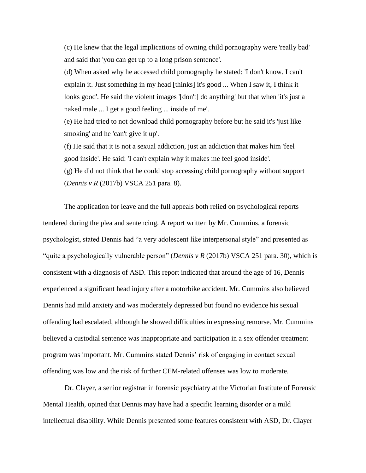(c) He knew that the legal implications of owning child pornography were 'really bad' and said that 'you can get up to a long prison sentence'.

(d) When asked why he accessed child pornography he stated: 'I don't know. I can't explain it. Just something in my head [thinks] it's good ... When I saw it, I think it looks good'. He said the violent images '[don't] do anything' but that when 'it's just a naked male ... I get a good feeling ... inside of me'.

(e) He had tried to not download child pornography before but he said it's 'just like smoking' and he 'can't give it up'.

(f) He said that it is not a sexual addiction, just an addiction that makes him 'feel good inside'. He said: 'I can't explain why it makes me feel good inside'. (g) He did not think that he could stop accessing child pornography without support (*Dennis v R* (2017b) VSCA 251 para. 8).

The application for leave and the full appeals both relied on psychological reports tendered during the plea and sentencing. A report written by Mr. Cummins, a forensic psychologist, stated Dennis had "a very adolescent like interpersonal style" and presented as "quite a psychologically vulnerable person" (*Dennis v R* (2017b) VSCA 251 para. 30), which is consistent with a diagnosis of ASD. This report indicated that around the age of 16, Dennis experienced a significant head injury after a motorbike accident. Mr. Cummins also believed Dennis had mild anxiety and was moderately depressed but found no evidence his sexual offending had escalated, although he showed difficulties in expressing remorse. Mr. Cummins believed a custodial sentence was inappropriate and participation in a sex offender treatment program was important. Mr. Cummins stated Dennis' risk of engaging in contact sexual offending was low and the risk of further CEM-related offenses was low to moderate.

Dr. Clayer, a senior registrar in forensic psychiatry at the Victorian Institute of Forensic Mental Health, opined that Dennis may have had a specific learning disorder or a mild intellectual disability. While Dennis presented some features consistent with ASD, Dr. Clayer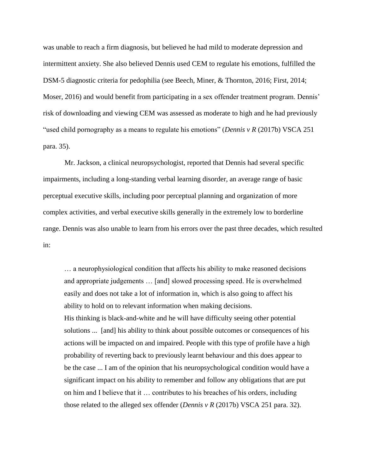was unable to reach a firm diagnosis, but believed he had mild to moderate depression and intermittent anxiety. She also believed Dennis used CEM to regulate his emotions, fulfilled the DSM-5 diagnostic criteria for pedophilia (see Beech, Miner, & Thornton, 2016; First, 2014; Moser, 2016) and would benefit from participating in a sex offender treatment program. Dennis' risk of downloading and viewing CEM was assessed as moderate to high and he had previously "used child pornography as a means to regulate his emotions" (*Dennis v R* (2017b) VSCA 251 para. 35).

Mr. Jackson, a clinical neuropsychologist, reported that Dennis had several specific impairments, including a long-standing verbal learning disorder, an average range of basic perceptual executive skills, including poor perceptual planning and organization of more complex activities, and verbal executive skills generally in the extremely low to borderline range. Dennis was also unable to learn from his errors over the past three decades, which resulted in:

… a neurophysiological condition that affects his ability to make reasoned decisions and appropriate judgements … [and] slowed processing speed. He is overwhelmed easily and does not take a lot of information in, which is also going to affect his ability to hold on to relevant information when making decisions. His thinking is black-and-white and he will have difficulty seeing other potential solutions ... [and] his ability to think about possible outcomes or consequences of his actions will be impacted on and impaired. People with this type of profile have a high probability of reverting back to previously learnt behaviour and this does appear to be the case ... I am of the opinion that his neuropsychological condition would have a significant impact on his ability to remember and follow any obligations that are put on him and I believe that it … contributes to his breaches of his orders, including those related to the alleged sex offender (*Dennis v R* (2017b) VSCA 251 para. 32).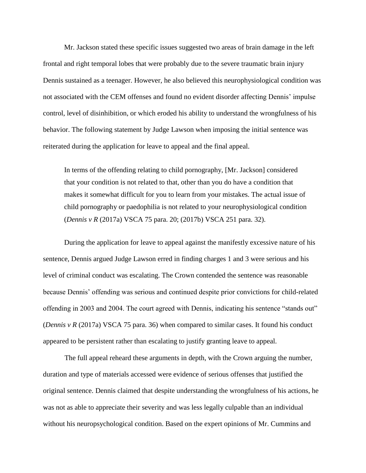Mr. Jackson stated these specific issues suggested two areas of brain damage in the left frontal and right temporal lobes that were probably due to the severe traumatic brain injury Dennis sustained as a teenager. However, he also believed this neurophysiological condition was not associated with the CEM offenses and found no evident disorder affecting Dennis' impulse control, level of disinhibition, or which eroded his ability to understand the wrongfulness of his behavior. The following statement by Judge Lawson when imposing the initial sentence was reiterated during the application for leave to appeal and the final appeal.

In terms of the offending relating to child pornography, [Mr. Jackson] considered that your condition is not related to that, other than you do have a condition that makes it somewhat difficult for you to learn from your mistakes. The actual issue of child pornography or paedophilia is not related to your neurophysiological condition (*Dennis v R* (2017a) VSCA 75 para. 20; (2017b) VSCA 251 para. 32).

During the application for leave to appeal against the manifestly excessive nature of his sentence, Dennis argued Judge Lawson erred in finding charges 1 and 3 were serious and his level of criminal conduct was escalating. The Crown contended the sentence was reasonable because Dennis' offending was serious and continued despite prior convictions for child-related offending in 2003 and 2004. The court agreed with Dennis, indicating his sentence "stands out" (*Dennis v R* (2017a) VSCA 75 para. 36) when compared to similar cases. It found his conduct appeared to be persistent rather than escalating to justify granting leave to appeal.

The full appeal reheard these arguments in depth, with the Crown arguing the number, duration and type of materials accessed were evidence of serious offenses that justified the original sentence. Dennis claimed that despite understanding the wrongfulness of his actions, he was not as able to appreciate their severity and was less legally culpable than an individual without his neuropsychological condition. Based on the expert opinions of Mr. Cummins and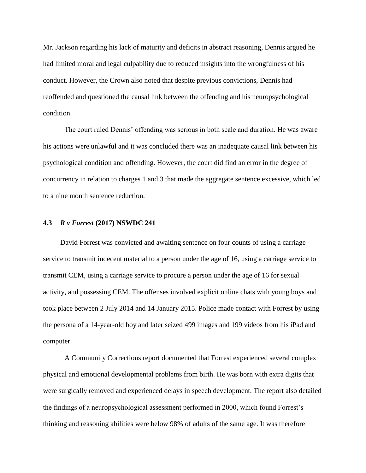Mr. Jackson regarding his lack of maturity and deficits in abstract reasoning, Dennis argued he had limited moral and legal culpability due to reduced insights into the wrongfulness of his conduct. However, the Crown also noted that despite previous convictions, Dennis had reoffended and questioned the causal link between the offending and his neuropsychological condition.

The court ruled Dennis' offending was serious in both scale and duration. He was aware his actions were unlawful and it was concluded there was an inadequate causal link between his psychological condition and offending. However, the court did find an error in the degree of concurrency in relation to charges 1 and 3 that made the aggregate sentence excessive, which led to a nine month sentence reduction.

# **4.3** *R v Forrest* **(2017) NSWDC 241**

David Forrest was convicted and awaiting sentence on four counts of using a carriage service to transmit indecent material to a person under the age of 16, using a carriage service to transmit CEM, using a carriage service to procure a person under the age of 16 for sexual activity, and possessing CEM. The offenses involved explicit online chats with young boys and took place between 2 July 2014 and 14 January 2015. Police made contact with Forrest by using the persona of a 14-year-old boy and later seized 499 images and 199 videos from his iPad and computer.

A Community Corrections report documented that Forrest experienced several complex physical and emotional developmental problems from birth. He was born with extra digits that were surgically removed and experienced delays in speech development. The report also detailed the findings of a neuropsychological assessment performed in 2000, which found Forrest's thinking and reasoning abilities were below 98% of adults of the same age. It was therefore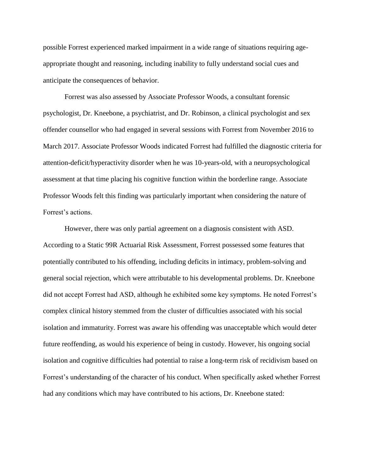possible Forrest experienced marked impairment in a wide range of situations requiring ageappropriate thought and reasoning, including inability to fully understand social cues and anticipate the consequences of behavior.

Forrest was also assessed by Associate Professor Woods, a consultant forensic psychologist, Dr. Kneebone, a psychiatrist, and Dr. Robinson, a clinical psychologist and sex offender counsellor who had engaged in several sessions with Forrest from November 2016 to March 2017. Associate Professor Woods indicated Forrest had fulfilled the diagnostic criteria for attention-deficit/hyperactivity disorder when he was 10-years-old, with a neuropsychological assessment at that time placing his cognitive function within the borderline range. Associate Professor Woods felt this finding was particularly important when considering the nature of Forrest's actions.

However, there was only partial agreement on a diagnosis consistent with ASD. According to a Static 99R Actuarial Risk Assessment, Forrest possessed some features that potentially contributed to his offending, including deficits in intimacy, problem-solving and general social rejection, which were attributable to his developmental problems. Dr. Kneebone did not accept Forrest had ASD, although he exhibited some key symptoms. He noted Forrest's complex clinical history stemmed from the cluster of difficulties associated with his social isolation and immaturity. Forrest was aware his offending was unacceptable which would deter future reoffending, as would his experience of being in custody. However, his ongoing social isolation and cognitive difficulties had potential to raise a long-term risk of recidivism based on Forrest's understanding of the character of his conduct. When specifically asked whether Forrest had any conditions which may have contributed to his actions, Dr. Kneebone stated: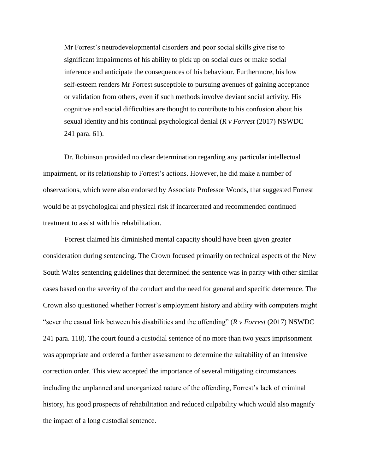Mr Forrest's neurodevelopmental disorders and poor social skills give rise to significant impairments of his ability to pick up on social cues or make social inference and anticipate the consequences of his behaviour. Furthermore, his low self-esteem renders Mr Forrest susceptible to pursuing avenues of gaining acceptance or validation from others, even if such methods involve deviant social activity. His cognitive and social difficulties are thought to contribute to his confusion about his sexual identity and his continual psychological denial (*R v Forrest* (2017) NSWDC 241 para. 61).

Dr. Robinson provided no clear determination regarding any particular intellectual impairment, or its relationship to Forrest's actions. However, he did make a number of observations, which were also endorsed by Associate Professor Woods, that suggested Forrest would be at psychological and physical risk if incarcerated and recommended continued treatment to assist with his rehabilitation.

Forrest claimed his diminished mental capacity should have been given greater consideration during sentencing. The Crown focused primarily on technical aspects of the New South Wales sentencing guidelines that determined the sentence was in parity with other similar cases based on the severity of the conduct and the need for general and specific deterrence. The Crown also questioned whether Forrest's employment history and ability with computers might "sever the casual link between his disabilities and the offending" (*R v Forrest* (2017) NSWDC 241 para. 118). The court found a custodial sentence of no more than two years imprisonment was appropriate and ordered a further assessment to determine the suitability of an intensive correction order. This view accepted the importance of several mitigating circumstances including the unplanned and unorganized nature of the offending, Forrest's lack of criminal history, his good prospects of rehabilitation and reduced culpability which would also magnify the impact of a long custodial sentence.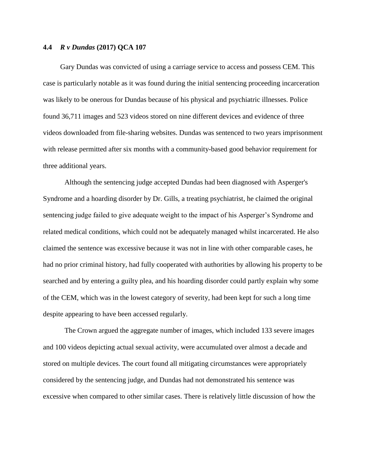# **4.4** *R v Dundas* **(2017) QCA 107**

Gary Dundas was convicted of using a carriage service to access and possess CEM. This case is particularly notable as it was found during the initial sentencing proceeding incarceration was likely to be onerous for Dundas because of his physical and psychiatric illnesses. Police found 36,711 images and 523 videos stored on nine different devices and evidence of three videos downloaded from file-sharing websites. Dundas was sentenced to two years imprisonment with release permitted after six months with a community-based good behavior requirement for three additional years.

Although the sentencing judge accepted Dundas had been diagnosed with Asperger's Syndrome and a hoarding disorder by Dr. Gills, a treating psychiatrist, he claimed the original sentencing judge failed to give adequate weight to the impact of his Asperger's Syndrome and related medical conditions, which could not be adequately managed whilst incarcerated. He also claimed the sentence was excessive because it was not in line with other comparable cases, he had no prior criminal history, had fully cooperated with authorities by allowing his property to be searched and by entering a guilty plea, and his hoarding disorder could partly explain why some of the CEM, which was in the lowest category of severity, had been kept for such a long time despite appearing to have been accessed regularly.

The Crown argued the aggregate number of images, which included 133 severe images and 100 videos depicting actual sexual activity, were accumulated over almost a decade and stored on multiple devices. The court found all mitigating circumstances were appropriately considered by the sentencing judge, and Dundas had not demonstrated his sentence was excessive when compared to other similar cases. There is relatively little discussion of how the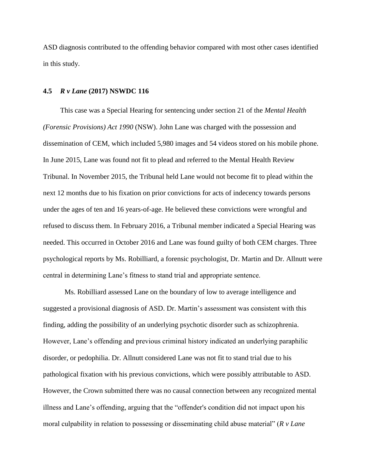ASD diagnosis contributed to the offending behavior compared with most other cases identified in this study.

#### **4.5** *R v Lane* **(2017) NSWDC 116**

This case was a Special Hearing for sentencing under section 21 of the *Mental Health (Forensic Provisions) Act 1990* (NSW). John Lane was charged with the possession and dissemination of CEM, which included 5,980 images and 54 videos stored on his mobile phone. In June 2015, Lane was found not fit to plead and referred to the Mental Health Review Tribunal. In November 2015, the Tribunal held Lane would not become fit to plead within the next 12 months due to his fixation on prior convictions for acts of indecency towards persons under the ages of ten and 16 years-of-age. He believed these convictions were wrongful and refused to discuss them. In February 2016, a Tribunal member indicated a Special Hearing was needed. This occurred in October 2016 and Lane was found guilty of both CEM charges. Three psychological reports by Ms. Robilliard, a forensic psychologist, Dr. Martin and Dr. Allnutt were central in determining Lane's fitness to stand trial and appropriate sentence.

Ms. Robilliard assessed Lane on the boundary of low to average intelligence and suggested a provisional diagnosis of ASD. Dr. Martin's assessment was consistent with this finding, adding the possibility of an underlying psychotic disorder such as schizophrenia. However, Lane's offending and previous criminal history indicated an underlying paraphilic disorder, or pedophilia. Dr. Allnutt considered Lane was not fit to stand trial due to his pathological fixation with his previous convictions, which were possibly attributable to ASD. However, the Crown submitted there was no causal connection between any recognized mental illness and Lane's offending, arguing that the "offender's condition did not impact upon his moral culpability in relation to possessing or disseminating child abuse material" (*R v Lane*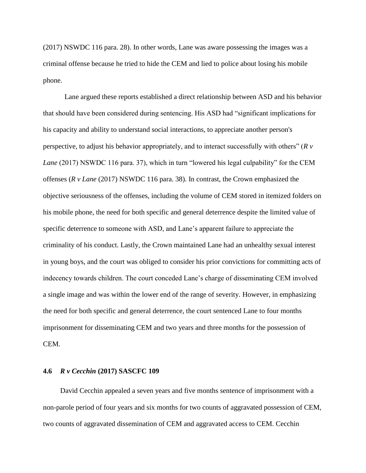(2017) NSWDC 116 para. 28). In other words, Lane was aware possessing the images was a criminal offense because he tried to hide the CEM and lied to police about losing his mobile phone.

Lane argued these reports established a direct relationship between ASD and his behavior that should have been considered during sentencing. His ASD had "significant implications for his capacity and ability to understand social interactions, to appreciate another person's perspective, to adjust his behavior appropriately, and to interact successfully with others" (*R v Lane* (2017) NSWDC 116 para. 37), which in turn "lowered his legal culpability" for the CEM offenses (*R v Lane* (2017) NSWDC 116 para. 38). In contrast, the Crown emphasized the objective seriousness of the offenses, including the volume of CEM stored in itemized folders on his mobile phone, the need for both specific and general deterrence despite the limited value of specific deterrence to someone with ASD, and Lane's apparent failure to appreciate the criminality of his conduct. Lastly, the Crown maintained Lane had an unhealthy sexual interest in young boys, and the court was obliged to consider his prior convictions for committing acts of indecency towards children. The court conceded Lane's charge of disseminating CEM involved a single image and was within the lower end of the range of severity. However, in emphasizing the need for both specific and general deterrence, the court sentenced Lane to four months imprisonment for disseminating CEM and two years and three months for the possession of CEM.

# **4.6** *R v Cecchin* **(2017) SASCFC 109**

David Cecchin appealed a seven years and five months sentence of imprisonment with a non-parole period of four years and six months for two counts of aggravated possession of CEM, two counts of aggravated dissemination of CEM and aggravated access to CEM. Cecchin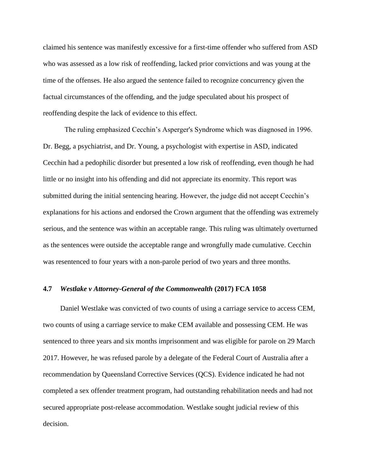claimed his sentence was manifestly excessive for a first-time offender who suffered from ASD who was assessed as a low risk of reoffending, lacked prior convictions and was young at the time of the offenses. He also argued the sentence failed to recognize concurrency given the factual circumstances of the offending, and the judge speculated about his prospect of reoffending despite the lack of evidence to this effect.

The ruling emphasized Cecchin's Asperger's Syndrome which was diagnosed in 1996. Dr. Begg, a psychiatrist, and Dr. Young, a psychologist with expertise in ASD, indicated Cecchin had a pedophilic disorder but presented a low risk of reoffending, even though he had little or no insight into his offending and did not appreciate its enormity. This report was submitted during the initial sentencing hearing. However, the judge did not accept Cecchin's explanations for his actions and endorsed the Crown argument that the offending was extremely serious, and the sentence was within an acceptable range. This ruling was ultimately overturned as the sentences were outside the acceptable range and wrongfully made cumulative. Cecchin was resentenced to four years with a non-parole period of two years and three months.

# **4.7** *Westlake v Attorney-General of the Commonwealth* **(2017) FCA 1058**

Daniel Westlake was convicted of two counts of using a carriage service to access CEM, two counts of using a carriage service to make CEM available and possessing CEM. He was sentenced to three years and six months imprisonment and was eligible for parole on 29 March 2017. However, he was refused parole by a delegate of the Federal Court of Australia after a recommendation by Queensland Corrective Services (QCS). Evidence indicated he had not completed a sex offender treatment program, had outstanding rehabilitation needs and had not secured appropriate post-release accommodation. Westlake sought judicial review of this decision.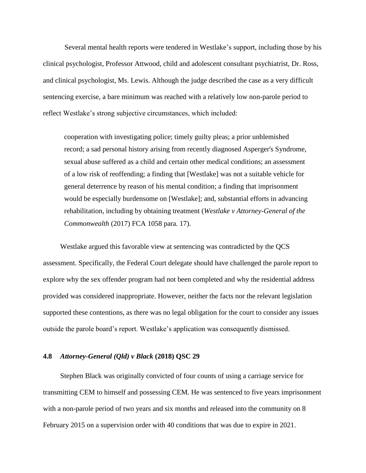Several mental health reports were tendered in Westlake's support, including those by his clinical psychologist, Professor Attwood, child and adolescent consultant psychiatrist, Dr. Ross, and clinical psychologist, Ms. Lewis. Although the judge described the case as a very difficult sentencing exercise, a bare minimum was reached with a relatively low non-parole period to reflect Westlake's strong subjective circumstances, which included:

cooperation with investigating police; timely guilty pleas; a prior unblemished record; a sad personal history arising from recently diagnosed Asperger's Syndrome, sexual abuse suffered as a child and certain other medical conditions; an assessment of a low risk of reoffending; a finding that [Westlake] was not a suitable vehicle for general deterrence by reason of his mental condition; a finding that imprisonment would be especially burdensome on [Westlake]; and, substantial efforts in advancing rehabilitation, including by obtaining treatment (*Westlake v Attorney-General of the Commonwealth* (2017) FCA 1058 para. 17).

Westlake argued this favorable view at sentencing was contradicted by the QCS assessment. Specifically, the Federal Court delegate should have challenged the parole report to explore why the sex offender program had not been completed and why the residential address provided was considered inappropriate. However, neither the facts nor the relevant legislation supported these contentions, as there was no legal obligation for the court to consider any issues outside the parole board's report. Westlake's application was consequently dismissed.

# **4.8** *Attorney-General (Qld) v Black* **(2018) QSC 29**

Stephen Black was originally convicted of four counts of using a carriage service for transmitting CEM to himself and possessing CEM. He was sentenced to five years imprisonment with a non-parole period of two years and six months and released into the community on 8 February 2015 on a supervision order with 40 conditions that was due to expire in 2021.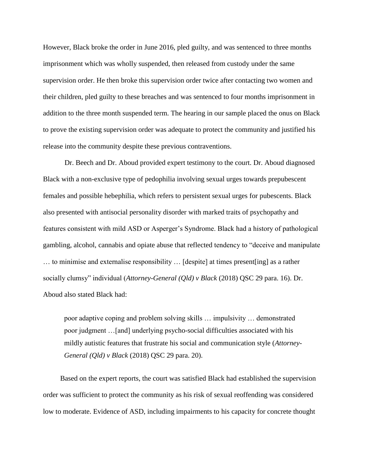However, Black broke the order in June 2016, pled guilty, and was sentenced to three months imprisonment which was wholly suspended, then released from custody under the same supervision order. He then broke this supervision order twice after contacting two women and their children, pled guilty to these breaches and was sentenced to four months imprisonment in addition to the three month suspended term. The hearing in our sample placed the onus on Black to prove the existing supervision order was adequate to protect the community and justified his release into the community despite these previous contraventions.

Dr. Beech and Dr. Aboud provided expert testimony to the court. Dr. Aboud diagnosed Black with a non-exclusive type of pedophilia involving sexual urges towards prepubescent females and possible hebephilia, which refers to persistent sexual urges for pubescents. Black also presented with antisocial personality disorder with marked traits of psychopathy and features consistent with mild ASD or Asperger's Syndrome. Black had a history of pathological gambling, alcohol, cannabis and opiate abuse that reflected tendency to "deceive and manipulate … to minimise and externalise responsibility … [despite] at times present[ing] as a rather socially clumsy" individual (*Attorney-General (Qld) v Black* (2018) QSC 29 para. 16). Dr. Aboud also stated Black had:

poor adaptive coping and problem solving skills … impulsivity … demonstrated poor judgment …[and] underlying psycho-social difficulties associated with his mildly autistic features that frustrate his social and communication style (*Attorney-General (Qld) v Black* (2018) QSC 29 para. 20).

Based on the expert reports, the court was satisfied Black had established the supervision order was sufficient to protect the community as his risk of sexual reoffending was considered low to moderate. Evidence of ASD, including impairments to his capacity for concrete thought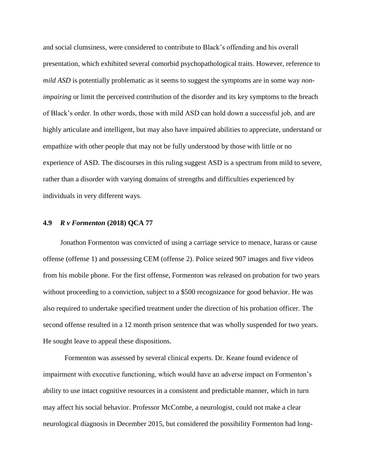and social clumsiness, were considered to contribute to Black's offending and his overall presentation, which exhibited several comorbid psychopathological traits. However, reference to *mild ASD* is potentially problematic as it seems to suggest the symptoms are in some way *nonimpairing* or limit the perceived contribution of the disorder and its key symptoms to the breach of Black's order. In other words, those with mild ASD can hold down a successful job, and are highly articulate and intelligent, but may also have impaired abilities to appreciate, understand or empathize with other people that may not be fully understood by those with little or no experience of ASD. The discourses in this ruling suggest ASD is a spectrum from mild to severe, rather than a disorder with varying domains of strengths and difficulties experienced by individuals in very different ways.

# **4.9** *R v Formenton* **(2018) QCA 77**

Jonathon Formenton was convicted of using a carriage service to menace, harass or cause offense (offense 1) and possessing CEM (offense 2). Police seized 907 images and five videos from his mobile phone. For the first offense, Formenton was released on probation for two years without proceeding to a conviction, subject to a \$500 recognizance for good behavior. He was also required to undertake specified treatment under the direction of his probation officer. The second offense resulted in a 12 month prison sentence that was wholly suspended for two years. He sought leave to appeal these dispositions.

Formenton was assessed by several clinical experts. Dr. Keane found evidence of impairment with executive functioning, which would have an adverse impact on Formenton's ability to use intact cognitive resources in a consistent and predictable manner, which in turn may affect his social behavior. Professor McCombe, a neurologist, could not make a clear neurological diagnosis in December 2015, but considered the possibility Formenton had long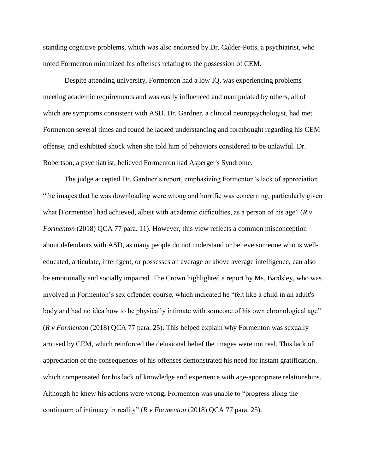standing cognitive problems, which was also endorsed by Dr. Calder-Potts, a psychiatrist, who noted Formenton minimized his offenses relating to the possession of CEM.

Despite attending university, Formenton had a low IQ, was experiencing problems meeting academic requirements and was easily influenced and manipulated by others, all of which are symptoms consistent with ASD. Dr. Gardner, a clinical neuropsychologist, had met Formenton several times and found he lacked understanding and forethought regarding his CEM offense, and exhibited shock when she told him of behaviors considered to be unlawful. Dr. Robertson, a psychiatrist, believed Formenton had Asperger's Syndrome.

The judge accepted Dr. Gardner's report, emphasizing Formenton's lack of appreciation "the images that he was downloading were wrong and horrific was concerning, particularly given what [Formenton] had achieved, albeit with academic difficulties, as a person of his age" (*R v Formenton* (2018) QCA 77 para. 11). However, this view reflects a common misconception about defendants with ASD, as many people do not understand or believe someone who is welleducated, articulate, intelligent, or possesses an average or above average intelligence, can also be emotionally and socially impaired. The Crown highlighted a report by Ms. Bardsley, who was involved in Formenton's sex offender course, which indicated he "felt like a child in an adult's body and had no idea how to be physically intimate with someone of his own chronological age" (*R v Formenton* (2018) QCA 77 para. 25). This helped explain why Formenton was sexually aroused by CEM, which reinforced the delusional belief the images were not real. This lack of appreciation of the consequences of his offenses demonstrated his need for instant gratification, which compensated for his lack of knowledge and experience with age-appropriate relationships. Although he knew his actions were wrong, Formenton was unable to "progress along the continuum of intimacy in reality" (*R v Formenton* (2018) QCA 77 para. 25).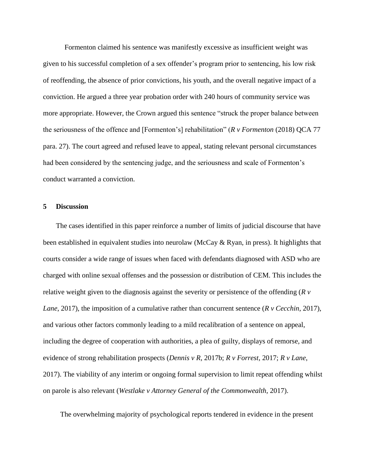Formenton claimed his sentence was manifestly excessive as insufficient weight was given to his successful completion of a sex offender's program prior to sentencing, his low risk of reoffending, the absence of prior convictions, his youth, and the overall negative impact of a conviction. He argued a three year probation order with 240 hours of community service was more appropriate. However, the Crown argued this sentence "struck the proper balance between the seriousness of the offence and [Formenton's] rehabilitation" (*R v Formenton* (2018) QCA 77 para. 27). The court agreed and refused leave to appeal, stating relevant personal circumstances had been considered by the sentencing judge, and the seriousness and scale of Formenton's conduct warranted a conviction.

# **5 Discussion**

The cases identified in this paper reinforce a number of limits of judicial discourse that have been established in equivalent studies into neurolaw (McCay  $\&$  Ryan, in press). It highlights that courts consider a wide range of issues when faced with defendants diagnosed with ASD who are charged with online sexual offenses and the possession or distribution of CEM. This includes the relative weight given to the diagnosis against the severity or persistence of the offending (*R v Lane*, 2017), the imposition of a cumulative rather than concurrent sentence (*R v Cecchin*, 2017), and various other factors commonly leading to a mild recalibration of a sentence on appeal, including the degree of cooperation with authorities, a plea of guilty, displays of remorse, and evidence of strong rehabilitation prospects (*Dennis v R*, 2017b; *R v Forrest*, 2017; *R v Lane*, 2017). The viability of any interim or ongoing formal supervision to limit repeat offending whilst on parole is also relevant (*Westlake v Attorney General of the Commonwealth*, 2017).

The overwhelming majority of psychological reports tendered in evidence in the present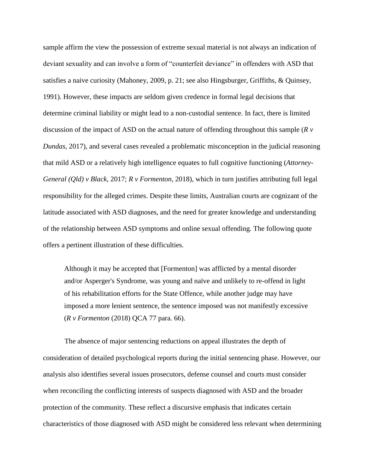sample affirm the view the possession of extreme sexual material is not always an indication of deviant sexuality and can involve a form of "counterfeit deviance" in offenders with ASD that satisfies a naive curiosity (Mahoney, 2009, p. 21; see also Hingsburger, Griffiths, & Quinsey, 1991). However, these impacts are seldom given credence in formal legal decisions that determine criminal liability or might lead to a non-custodial sentence. In fact, there is limited discussion of the impact of ASD on the actual nature of offending throughout this sample (*R v Dundas*, 2017), and several cases revealed a problematic misconception in the judicial reasoning that mild ASD or a relatively high intelligence equates to full cognitive functioning (*Attorney-General (Qld) v Black*, 2017; *R v Formenton*, 2018), which in turn justifies attributing full legal responsibility for the alleged crimes. Despite these limits, Australian courts are cognizant of the latitude associated with ASD diagnoses, and the need for greater knowledge and understanding of the relationship between ASD symptoms and online sexual offending. The following quote offers a pertinent illustration of these difficulties.

Although it may be accepted that [Formenton] was afflicted by a mental disorder and/or Asperger's Syndrome, was young and naïve and unlikely to re-offend in light of his rehabilitation efforts for the State Offence, while another judge may have imposed a more lenient sentence, the sentence imposed was not manifestly excessive (*R v Formenton* (2018) QCA 77 para. 66).

The absence of major sentencing reductions on appeal illustrates the depth of consideration of detailed psychological reports during the initial sentencing phase. However, our analysis also identifies several issues prosecutors, defense counsel and courts must consider when reconciling the conflicting interests of suspects diagnosed with ASD and the broader protection of the community. These reflect a discursive emphasis that indicates certain characteristics of those diagnosed with ASD might be considered less relevant when determining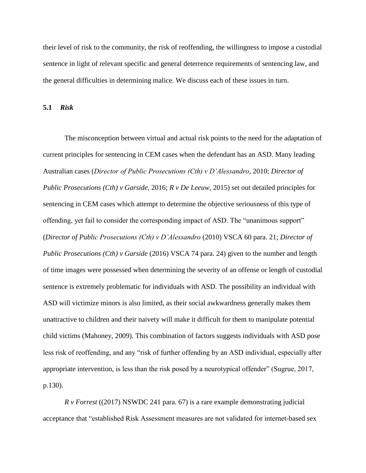their level of risk to the community, the risk of reoffending, the willingness to impose a custodial sentence in light of relevant specific and general deterrence requirements of sentencing law, and the general difficulties in determining malice. We discuss each of these issues in turn.

**5.1** *Risk*

The misconception between virtual and actual risk points to the need for the adaptation of current principles for sentencing in CEM cases when the defendant has an ASD. Many leading Australian cases (*Director of Public Prosecutions (Cth) v D'Alessandro*, 2010; *Director of Public Prosecutions (Cth) v Garside*, 2016; *R v De Leeuw,* 2015) set out detailed principles for sentencing in CEM cases which attempt to determine the objective seriousness of this type of offending, yet fail to consider the corresponding impact of ASD. The "unanimous support" (*Director of Public Prosecutions (Cth) v D'Alessandro* (2010) VSCA 60 para. 21; *Director of Public Prosecutions (Cth) v Garside* (2016) VSCA 74 para. 24) given to the number and length of time images were possessed when determining the severity of an offense or length of custodial sentence is extremely problematic for individuals with ASD. The possibility an individual with ASD will victimize minors is also limited, as their social awkwardness generally makes them unattractive to children and their naivety will make it difficult for them to manipulate potential child victims (Mahoney, 2009). This combination of factors suggests individuals with ASD pose less risk of reoffending, and any "risk of further offending by an ASD individual, especially after appropriate intervention, is less than the risk posed by a neurotypical offender" (Sugrue, 2017, p.130).

*R v Forrest* ((2017) NSWDC 241 para. 67) is a rare example demonstrating judicial acceptance that "established Risk Assessment measures are not validated for internet-based sex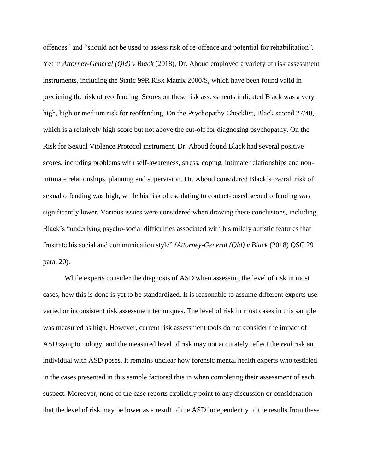offences" and "should not be used to assess risk of re-offence and potential for rehabilitation". Yet in *Attorney-General (Qld) v Black* (2018), Dr. Aboud employed a variety of risk assessment instruments, including the Static 99R Risk Matrix 2000/S, which have been found valid in predicting the risk of reoffending. Scores on these risk assessments indicated Black was a very high, high or medium risk for reoffending. On the Psychopathy Checklist, Black scored 27/40, which is a relatively high score but not above the cut-off for diagnosing psychopathy. On the Risk for Sexual Violence Protocol instrument, Dr. Aboud found Black had several positive scores, including problems with self-awareness, stress, coping, intimate relationships and nonintimate relationships, planning and supervision. Dr. Aboud considered Black's overall risk of sexual offending was high, while his risk of escalating to contact-based sexual offending was significantly lower. Various issues were considered when drawing these conclusions, including Black's "underlying psycho-social difficulties associated with his mildly autistic features that frustrate his social and communication style" *(Attorney-General (Qld) v Black* (2018) QSC 29 para. 20).

While experts consider the diagnosis of ASD when assessing the level of risk in most cases, how this is done is yet to be standardized. It is reasonable to assume different experts use varied or inconsistent risk assessment techniques. The level of risk in most cases in this sample was measured as high. However, current risk assessment tools do not consider the impact of ASD symptomology, and the measured level of risk may not accurately reflect the *real* risk an individual with ASD poses. It remains unclear how forensic mental health experts who testified in the cases presented in this sample factored this in when completing their assessment of each suspect. Moreover, none of the case reports explicitly point to any discussion or consideration that the level of risk may be lower as a result of the ASD independently of the results from these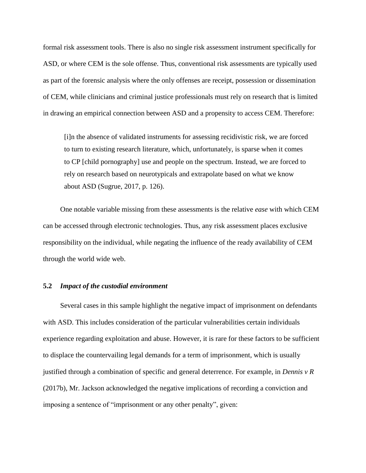formal risk assessment tools. There is also no single risk assessment instrument specifically for ASD, or where CEM is the sole offense. Thus, conventional risk assessments are typically used as part of the forensic analysis where the only offenses are receipt, possession or dissemination of CEM, while clinicians and criminal justice professionals must rely on research that is limited in drawing an empirical connection between ASD and a propensity to access CEM. Therefore:

[i]n the absence of validated instruments for assessing recidivistic risk, we are forced to turn to existing research literature, which, unfortunately, is sparse when it comes to CP [child pornography] use and people on the spectrum. Instead, we are forced to rely on research based on neurotypicals and extrapolate based on what we know about ASD (Sugrue, 2017, p. 126).

One notable variable missing from these assessments is the relative *ease* with which CEM can be accessed through electronic technologies. Thus, any risk assessment places exclusive responsibility on the individual, while negating the influence of the ready availability of CEM through the world wide web.

#### **5.2** *Impact of the custodial environment*

Several cases in this sample highlight the negative impact of imprisonment on defendants with ASD. This includes consideration of the particular vulnerabilities certain individuals experience regarding exploitation and abuse. However, it is rare for these factors to be sufficient to displace the countervailing legal demands for a term of imprisonment, which is usually justified through a combination of specific and general deterrence. For example, in *Dennis v R* (2017b), Mr. Jackson acknowledged the negative implications of recording a conviction and imposing a sentence of "imprisonment or any other penalty", given: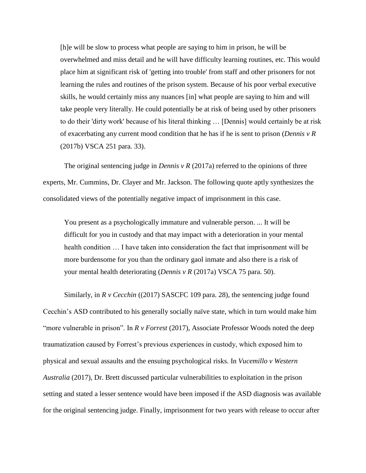[h]e will be slow to process what people are saying to him in prison, he will be overwhelmed and miss detail and he will have difficulty learning routines, etc. This would place him at significant risk of 'getting into trouble' from staff and other prisoners for not learning the rules and routines of the prison system. Because of his poor verbal executive skills, he would certainly miss any nuances [in] what people are saying to him and will take people very literally. He could potentially be at risk of being used by other prisoners to do their 'dirty work' because of his literal thinking … [Dennis] would certainly be at risk of exacerbating any current mood condition that he has if he is sent to prison (*Dennis v R*  (2017b) VSCA 251 para. 33).

The original sentencing judge in *Dennis v R* (2017a) referred to the opinions of three experts, Mr. Cummins, Dr. Clayer and Mr. Jackson. The following quote aptly synthesizes the consolidated views of the potentially negative impact of imprisonment in this case.

You present as a psychologically immature and vulnerable person. ... It will be difficult for you in custody and that may impact with a deterioration in your mental health condition … I have taken into consideration the fact that imprisonment will be more burdensome for you than the ordinary gaol inmate and also there is a risk of your mental health deteriorating (*Dennis v R* (2017a) VSCA 75 para. 50).

Similarly, in *R v Cecchin* ((2017) SASCFC 109 para. 28), the sentencing judge found Cecchin's ASD contributed to his generally socially naïve state, which in turn would make him "more vulnerable in prison". In *R v Forrest* (2017), Associate Professor Woods noted the deep traumatization caused by Forrest's previous experiences in custody, which exposed him to physical and sexual assaults and the ensuing psychological risks. In *Vucemillo v Western Australia* (2017), Dr. Brett discussed particular vulnerabilities to exploitation in the prison setting and stated a lesser sentence would have been imposed if the ASD diagnosis was available for the original sentencing judge. Finally, imprisonment for two years with release to occur after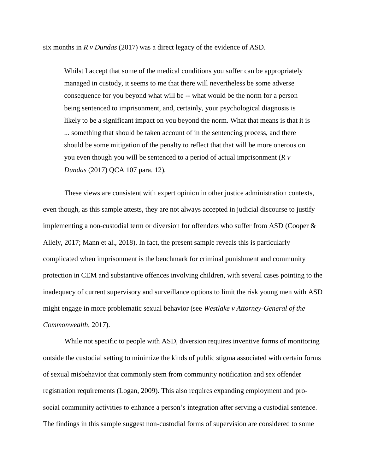six months in *R v Dundas* (2017) was a direct legacy of the evidence of ASD.

Whilst I accept that some of the medical conditions you suffer can be appropriately managed in custody, it seems to me that there will nevertheless be some adverse consequence for you beyond what will be -- what would be the norm for a person being sentenced to imprisonment, and, certainly, your psychological diagnosis is likely to be a significant impact on you beyond the norm. What that means is that it is ... something that should be taken account of in the sentencing process, and there should be some mitigation of the penalty to reflect that that will be more onerous on you even though you will be sentenced to a period of actual imprisonment (*R v Dundas* (2017) QCA 107 para. 12)*.*

These views are consistent with expert opinion in other justice administration contexts, even though, as this sample attests, they are not always accepted in judicial discourse to justify implementing a non-custodial term or diversion for offenders who suffer from ASD (Cooper & Allely, 2017; Mann et al., 2018). In fact, the present sample reveals this is particularly complicated when imprisonment is the benchmark for criminal punishment and community protection in CEM and substantive offences involving children, with several cases pointing to the inadequacy of current supervisory and surveillance options to limit the risk young men with ASD might engage in more problematic sexual behavior (see *Westlake v Attorney-General of the Commonwealth*, 2017).

While not specific to people with ASD, diversion requires inventive forms of monitoring outside the custodial setting to minimize the kinds of public stigma associated with certain forms of sexual misbehavior that commonly stem from community notification and sex offender registration requirements (Logan, 2009). This also requires expanding employment and prosocial community activities to enhance a person's integration after serving a custodial sentence. The findings in this sample suggest non-custodial forms of supervision are considered to some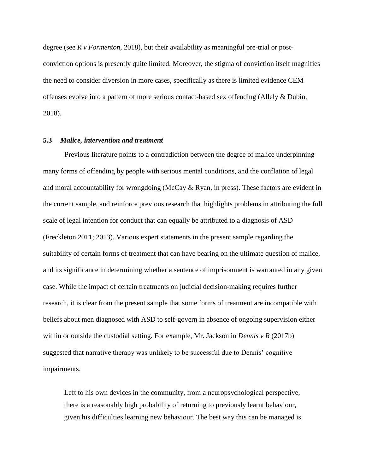degree (see *R v Formenton*, 2018), but their availability as meaningful pre-trial or postconviction options is presently quite limited. Moreover, the stigma of conviction itself magnifies the need to consider diversion in more cases, specifically as there is limited evidence CEM offenses evolve into a pattern of more serious contact-based sex offending (Allely & Dubin, 2018).

# **5.3** *Malice, intervention and treatment*

Previous literature points to a contradiction between the degree of malice underpinning many forms of offending by people with serious mental conditions, and the conflation of legal and moral accountability for wrongdoing (McCay  $\&$  Ryan, in press). These factors are evident in the current sample, and reinforce previous research that highlights problems in attributing the full scale of legal intention for conduct that can equally be attributed to a diagnosis of ASD (Freckleton 2011; 2013). Various expert statements in the present sample regarding the suitability of certain forms of treatment that can have bearing on the ultimate question of malice, and its significance in determining whether a sentence of imprisonment is warranted in any given case. While the impact of certain treatments on judicial decision-making requires further research, it is clear from the present sample that some forms of treatment are incompatible with beliefs about men diagnosed with ASD to self-govern in absence of ongoing supervision either within or outside the custodial setting. For example, Mr. Jackson in *Dennis v R* (2017b) suggested that narrative therapy was unlikely to be successful due to Dennis' cognitive impairments.

Left to his own devices in the community, from a neuropsychological perspective, there is a reasonably high probability of returning to previously learnt behaviour, given his difficulties learning new behaviour. The best way this can be managed is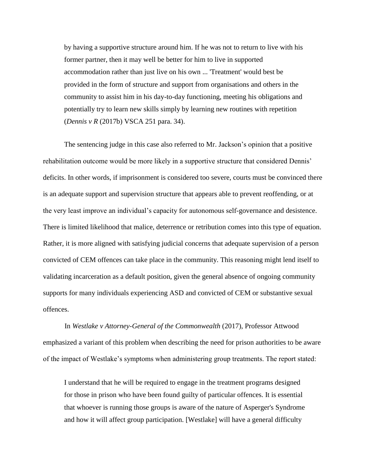by having a supportive structure around him. If he was not to return to live with his former partner, then it may well be better for him to live in supported accommodation rather than just live on his own ... 'Treatment' would best be provided in the form of structure and support from organisations and others in the community to assist him in his day-to-day functioning, meeting his obligations and potentially try to learn new skills simply by learning new routines with repetition (*Dennis v R* (2017b) VSCA 251 para. 34).

The sentencing judge in this case also referred to Mr. Jackson's opinion that a positive rehabilitation outcome would be more likely in a supportive structure that considered Dennis' deficits. In other words, if imprisonment is considered too severe, courts must be convinced there is an adequate support and supervision structure that appears able to prevent reoffending, or at the very least improve an individual's capacity for autonomous self-governance and desistence. There is limited likelihood that malice, deterrence or retribution comes into this type of equation. Rather, it is more aligned with satisfying judicial concerns that adequate supervision of a person convicted of CEM offences can take place in the community. This reasoning might lend itself to validating incarceration as a default position, given the general absence of ongoing community supports for many individuals experiencing ASD and convicted of CEM or substantive sexual offences.

In *Westlake v Attorney-General of the Commonwealth* (2017), Professor Attwood emphasized a variant of this problem when describing the need for prison authorities to be aware of the impact of Westlake's symptoms when administering group treatments. The report stated:

I understand that he will be required to engage in the treatment programs designed for those in prison who have been found guilty of particular offences. It is essential that whoever is running those groups is aware of the nature of Asperger's Syndrome and how it will affect group participation. [Westlake] will have a general difficulty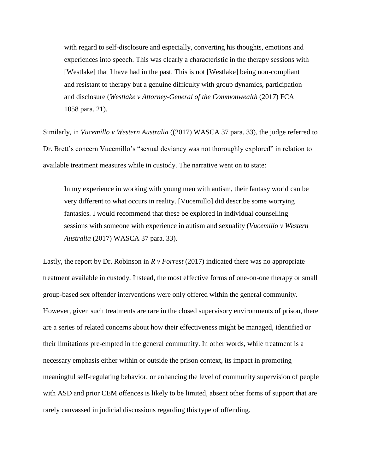with regard to self-disclosure and especially, converting his thoughts, emotions and experiences into speech. This was clearly a characteristic in the therapy sessions with [Westlake] that I have had in the past. This is not [Westlake] being non-compliant and resistant to therapy but a genuine difficulty with group dynamics, participation and disclosure (*Westlake v Attorney-General of the Commonwealth* (2017) FCA 1058 para. 21).

Similarly, in *Vucemillo v Western Australia* ((2017) WASCA 37 para. 33), the judge referred to Dr. Brett's concern Vucemillo's "sexual deviancy was not thoroughly explored" in relation to available treatment measures while in custody. The narrative went on to state:

In my experience in working with young men with autism, their fantasy world can be very different to what occurs in reality. [Vucemillo] did describe some worrying fantasies. I would recommend that these be explored in individual counselling sessions with someone with experience in autism and sexuality (*Vucemillo v Western Australia* (2017) WASCA 37 para. 33).

Lastly, the report by Dr. Robinson in *R v Forrest* (2017) indicated there was no appropriate treatment available in custody. Instead, the most effective forms of one-on-one therapy or small group-based sex offender interventions were only offered within the general community. However, given such treatments are rare in the closed supervisory environments of prison, there are a series of related concerns about how their effectiveness might be managed, identified or their limitations pre-empted in the general community. In other words, while treatment is a necessary emphasis either within or outside the prison context, its impact in promoting meaningful self-regulating behavior, or enhancing the level of community supervision of people with ASD and prior CEM offences is likely to be limited, absent other forms of support that are rarely canvassed in judicial discussions regarding this type of offending.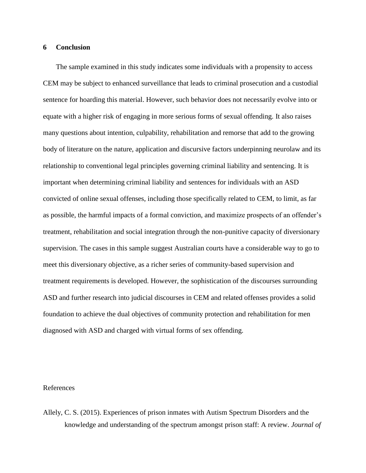### **6 Conclusion**

The sample examined in this study indicates some individuals with a propensity to access CEM may be subject to enhanced surveillance that leads to criminal prosecution and a custodial sentence for hoarding this material. However, such behavior does not necessarily evolve into or equate with a higher risk of engaging in more serious forms of sexual offending. It also raises many questions about intention, culpability, rehabilitation and remorse that add to the growing body of literature on the nature, application and discursive factors underpinning neurolaw and its relationship to conventional legal principles governing criminal liability and sentencing. It is important when determining criminal liability and sentences for individuals with an ASD convicted of online sexual offenses, including those specifically related to CEM, to limit, as far as possible, the harmful impacts of a formal conviction, and maximize prospects of an offender's treatment, rehabilitation and social integration through the non-punitive capacity of diversionary supervision. The cases in this sample suggest Australian courts have a considerable way to go to meet this diversionary objective, as a richer series of community-based supervision and treatment requirements is developed. However, the sophistication of the discourses surrounding ASD and further research into judicial discourses in CEM and related offenses provides a solid foundation to achieve the dual objectives of community protection and rehabilitation for men diagnosed with ASD and charged with virtual forms of sex offending.

# References

Allely, C. S. (2015). Experiences of prison inmates with Autism Spectrum Disorders and the knowledge and understanding of the spectrum amongst prison staff: A review. *Journal of*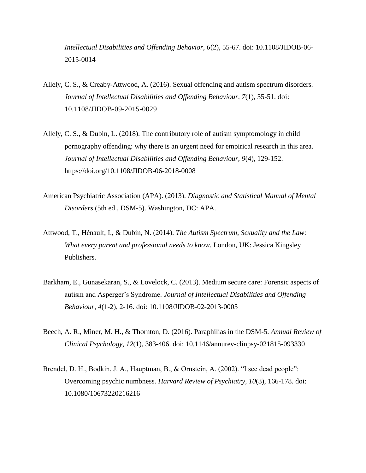*Intellectual Disabilities and Offending Behavior, 6*(2), 55-67. doi: 10.1108/JIDOB-06- 2015-0014

- Allely, C. S., & Creaby-Attwood, A. (2016). Sexual offending and autism spectrum disorders. *Journal of Intellectual Disabilities and Offending Behaviour, 7*(1), 35-51. [doi:](https://doi.org/10.1108/JIDOB-09-2015-0029)  [10.1108/JIDOB-09-2015-0029](https://doi.org/10.1108/JIDOB-09-2015-0029)
- Allely, C. S., & Dubin, L. (2018). The contributory role of autism symptomology in child pornography offending: why there is an urgent need for empirical research in this area. *Journal of Intellectual Disabilities and Offending Behaviour, 9*(4), 129-152. https://doi.org/10.1108/JIDOB-06-2018-0008
- American Psychiatric Association (APA). (2013). *Diagnostic and Statistical Manual of Mental Disorders* (5th ed., DSM-5). Washington, DC: APA.
- Attwood, T., Hénault, I., & Dubin, N. (2014). *The Autism Spectrum, Sexuality and the Law: What every parent and professional needs to know*. London, UK: Jessica Kingsley Publishers.
- Barkham, E., Gunasekaran, S., & Lovelock, C. (2013). Medium secure care: Forensic aspects of autism and Asperger's Syndrome. *Journal of Intellectual Disabilities and Offending Behaviour*, *4*(1-2), 2-16. doi: 10.1108/JIDOB-02-2013-0005
- Beech, A. R., Miner, M. H., & Thornton, D. (2016). Paraphilias in the DSM-5. *Annual Review of Clinical Psychology, 12*(1), 383-406. doi: 10.1146/annurev-clinpsy-021815-093330
- Brendel, D. H., Bodkin, J. A., Hauptman, B., & Ornstein, A. (2002). "I see dead people": Overcoming psychic numbness. *Harvard Review of Psychiatry, 10*(3), 166-178. doi: 10.1080/10673220216216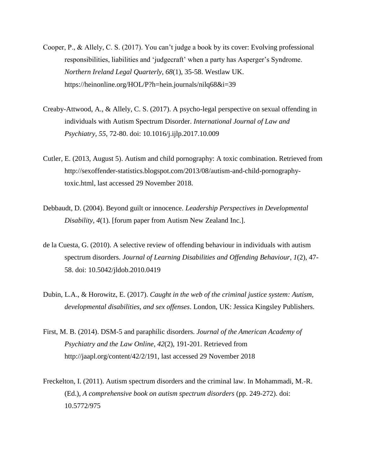- Cooper, P., & Allely, C. S. (2017). You can't judge a book by its cover: Evolving professional responsibilities, liabilities and 'judgecraft' when a party has Asperger's Syndrome. *Northern Ireland Legal Quarterly, 68*(1), 35-58. Westlaw UK. https://heinonline.org/HOL/P?h=hein.journals/nilq68&i=39
- Creaby-Attwood, A., & Allely, C. S. (2017). A psycho-legal perspective on sexual offending in individuals with Autism Spectrum Disorder. *International Journal of Law and Psychiatry, 55*, 72-80. [doi: 10.1016/j.ijlp.2017.10.009](https://doi-org.ezproxy-b.deakin.edu.au/10.1016/j.ijlp.2017.10.009)
- Cutler, E. (2013, August 5). Autism and child pornography: A toxic combination. Retrieved from [http://sexoffender-statistics.blogspot.com/2013/08/autism-and-child-pornography](http://sexoffender-statistics.blogspot.com/2013/08/autism-and-child-pornography-toxic.html)[toxic.html,](http://sexoffender-statistics.blogspot.com/2013/08/autism-and-child-pornography-toxic.html) last accessed 29 November 2018.
- Debbaudt, D. (2004). Beyond guilt or innocence. *Leadership Perspectives in Developmental Disability, 4*(1). [forum paper from Autism New Zealand Inc.].
- de la Cuesta, G. (2010). A selective review of offending behaviour in individuals with autism spectrum disorders. *Journal of Learning Disabilities and Offending Behaviour*, *1*(2), 47- 58. doi: 10.5042/jldob.2010.0419
- Dubin, L.A., & Horowitz, E. (2017). *Caught in the web of the criminal justice system: Autism, developmental disabilities, and sex offenses*. London, UK: Jessica Kingsley Publishers.
- First, M. B. (2014). DSM-5 and paraphilic disorders. *Journal of the American Academy of Psychiatry and the Law Online, 42*(2), 191-201. Retrieved from [http://jaapl.org/content/42/2/191,](http://jaapl.org/content/42/2/191) last accessed 29 November 2018
- Freckelton, I. (2011). Autism spectrum disorders and the criminal law. In Mohammadi, M.-R. (Ed.), *A comprehensive book on autism spectrum disorders* (pp. 249-272). doi: 10.5772/975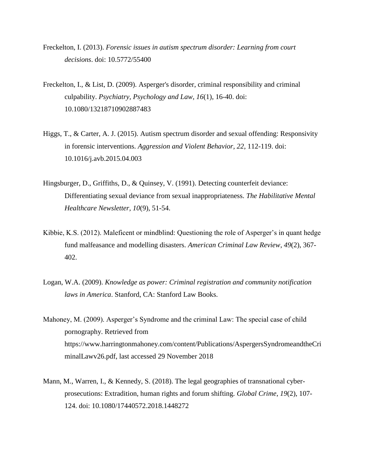- Freckelton, I. (2013). *Forensic issues in autism spectrum disorder: Learning from court decisions*. doi: 10.5772/55400
- Freckelton, I., & List, D. (2009). Asperger's disorder, criminal responsibility and criminal culpability. *Psychiatry, Psychology and Law, 16*(1), 16-40. doi: 10.1080/13218710902887483
- Higgs, T., & Carter, A. J. (2015). Autism spectrum disorder and sexual offending: Responsivity in forensic interventions. *Aggression and Violent Behavior, 22*, 112-119. [doi:](https://doi-org.ezproxy-b.deakin.edu.au/10.1016/j.avb.2015.04.003)  [10.1016/j.avb.2015.04.003](https://doi-org.ezproxy-b.deakin.edu.au/10.1016/j.avb.2015.04.003)
- Hingsburger, D., Griffiths, D., & Quinsey, V. (1991). Detecting counterfeit deviance: Differentiating sexual deviance from sexual inappropriateness. *The Habilitative Mental Healthcare Newsletter, 10*(9), 51-54.
- Kibbie, K.S. (2012). Maleficent or mindblind: Questioning the role of Asperger's in quant hedge fund malfeasance and modelling disasters. *American Criminal Law Review*, *49*(2), 367- 402.
- Logan, W.A. (2009). *Knowledge as power: Criminal registration and community notification laws in America*. Stanford, CA: Stanford Law Books.
- Mahoney, M. (2009). Asperger's Syndrome and the criminal Law: The special case of child pornography. Retrieved from [https://www.harringtonmahoney.com/content/Publications/AspergersSyndromeandtheCri](https://www.harringtonmahoney.com/content/Publications/AspergersSyndromeandtheCriminalLawv26.pdf) [minalLawv26.pdf,](https://www.harringtonmahoney.com/content/Publications/AspergersSyndromeandtheCriminalLawv26.pdf) last accessed 29 November 2018
- Mann, M., Warren, I., & Kennedy, S. (2018). The legal geographies of transnational cyberprosecutions: Extradition, human rights and forum shifting. *Global Crime*, *19*(2), 107- 124. doi: [10.1080/17440572.2018.1448272](http://www.dx.doi.org/10.1080/17440572.2018.1448272)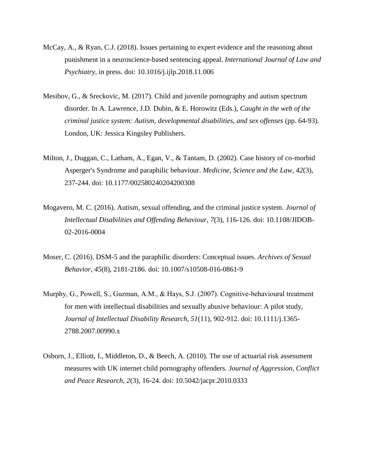- McCay, A., & Ryan, C.J. (2018). Issues pertaining to expert evidence and the reasoning about punishment in a neuroscience-based sentencing appeal. *International Journal of Law and Psychiatry*, in press. doi: 10.1016/j.ijlp.2018.11.006
- Mesibov, G., & Sreckovic, M. (2017). Child and juvenile pornography and autism spectrum disorder. In A. Lawrence, J.D. Dubin, & E. Horowitz (Eds.), *Caught in the web of the criminal justice system: Autism, developmental disabilities, and sex offenses* (pp. 64-93)*.* London, UK: Jessica Kingsley Publishers.
- Milton, J., Duggan, C., Latham, A., Egan, V., & Tantam, D. (2002). Case history of co-morbid Asperger's Syndrome and paraphilic behaviour. *Medicine, Science and the Law, 42*(3), 237-244. doi: 10.1177/002580240204200308
- Mogavero, M. C. (2016). Autism, sexual offending, and the criminal justice system. *Journal of Intellectual Disabilities and Offending Behaviour, 7*(3), 116-126. doi: 10.1108/JIDOB-02-2016-0004
- Moser, C. (2016). DSM-5 and the paraphilic disorders: Conceptual issues. *Archives of Sexual Behavior, 45*(8), 2181-2186. doi: 10.1007/s10508-016-0861-9
- Murphy, G., Powell, S., Guzman, A.M., & Hays, S.J. (2007). Cognitive-behavioural treatment for men with intellectual disabilities and sexually abusive behaviour: A pilot study, *Journal of Intellectual Disability Research, 51*(11), 902-912. doi: 10.1111/j.1365- 2788.2007.00990.x
- Osborn, J., Elliott, I., Middleton, D., & Beech, A. (2010). The use of actuarial risk assessment measures with UK internet child pornography offenders. *Journal of Aggression, Conflict and Peace Research, 2*(3), 16-24. doi: 10.5042/jacpr.2010.0333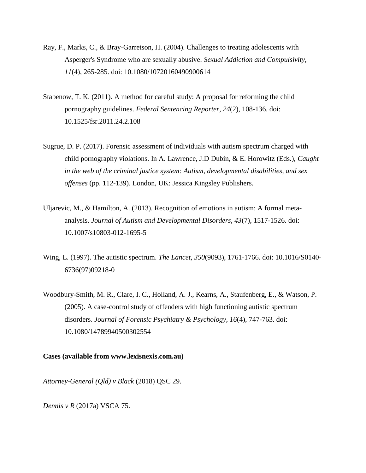- Ray, F., Marks, C., & Bray-Garretson, H. (2004). Challenges to treating adolescents with Asperger's Syndrome who are sexually abusive. *Sexual Addiction and Compulsivity, 11*(4), 265-285. doi: 10.1080/10720160490900614
- Stabenow, T. K. (2011). A method for careful study: A proposal for reforming the child pornography guidelines. *Federal Sentencing Reporter, 24*(2), 108-136. doi: 10.1525/fsr.2011.24.2.108
- Sugrue, D. P. (2017). Forensic assessment of individuals with autism spectrum charged with child pornography violations. In A. Lawrence, J.D Dubin, & E. Horowitz (Eds.), *Caught in the web of the criminal justice system: Autism, developmental disabilities, and sex offenses* (pp. 112-139). London, UK: Jessica Kingsley Publishers.
- Uljarevic, M., & Hamilton, A. (2013). Recognition of emotions in autism: A formal metaanalysis. *Journal of Autism and Developmental Disorders, 43*(7), 1517-1526. doi: 10.1007/s10803-012-1695-5
- Wing, L. (1997). The autistic spectrum. *The Lancet, 350*(9093), 1761-1766. doi: 10.1016/S0140- 6736(97)09218-0
- Woodbury-Smith, M. R., Clare, I. C., Holland, A. J., Kearns, A., Staufenberg, E., & Watson, P. (2005). A case-control study of offenders with high functioning autistic spectrum disorders. *Journal of Forensic Psychiatry & Psychology, 16*(4), 747-763. doi: 10.1080/14789940500302554

# **Cases (available from [www.lexisnexis.com.au\)](http://www.lexisnexis.com.au/)**

*Attorney-General (Qld) v Black* (2018) QSC 29.

*Dennis v R* (2017a) VSCA 75.